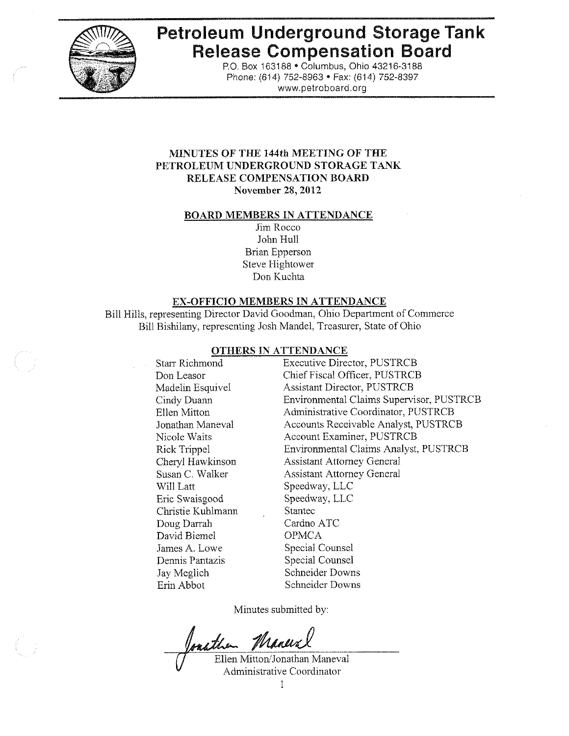

# **Petroleum Underground Storage Tank Release Compensation Board**

P.O. Box 163188 . Columbus, Ohio 43216-3188 Phone: (614) 752-8963 · Fax: (614) 752-8397 www.petroboard.org

## MINUTES OF THE 144th MEETING OF THE PETROLEUM UNDERGROUND STORAGE TANK RELEASE COMPENSATION BOARD **November 28, 2012**

#### **BOARD MEMBERS IN ATTENDANCE**

Jim Rocco John Hull **Brian Epperson** Steve Hightower Don Kuchta

#### **EX-OFFICIO MEMBERS IN ATTENDANCE**

Bill Hills, representing Director David Goodman, Ohio Department of Commerce Bill Bishilany, representing Josh Mandel, Treasurer, State of Ohio

#### **OTHERS IN ATTENDANCE**

Starr Richmond Don Leasor Madelin Esquivel Cindy Duann Ellen Mitton Jonathan Maneval Nicole Waits Rick Trippel Chervl Hawkinson Susan C. Walker Will Latt Eric Swaisgood Christie Kuhlmann Doug Darrah David Biemel James A. Lowe Dennis Pantazis Jay Meglich Erin Abbot

**Executive Director, PUSTRCB** Chief Fiscal Officer, PUSTRCB **Assistant Director, PUSTRCB** Environmental Claims Supervisor, PUSTRCB Administrative Coordinator, PUSTRCB Accounts Receivable Analyst, PUSTRCB Account Examiner, PUSTRCB Environmental Claims Analyst, PUSTRCB **Assistant Attorney General Assistant Attorney General** Speedway, LLC Speedway, LLC Stantec Cardno ATC **OPMCA** Special Counsel Special Counsel Schneider Downs Schneider Downs

Minutes submitted by:

Joacther Maneral

Ellen Mitton/Jonathan Maneval Administrative Coordinator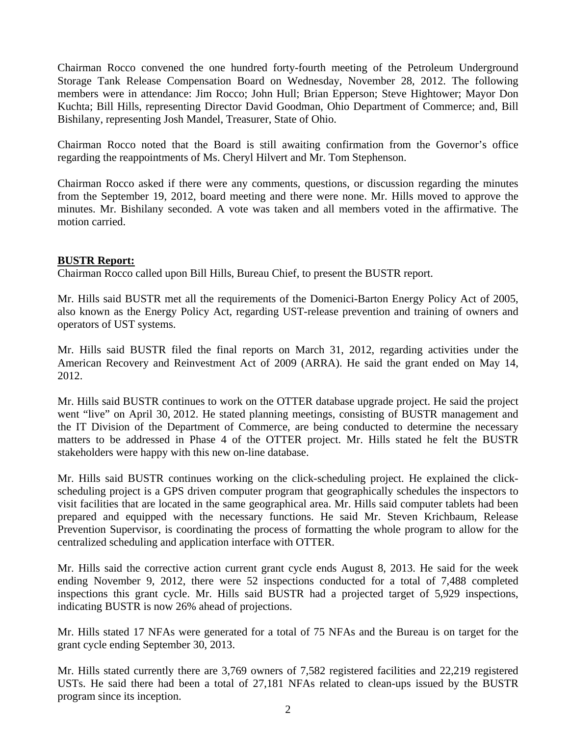Chairman Rocco convened the one hundred forty-fourth meeting of the Petroleum Underground Storage Tank Release Compensation Board on Wednesday, November 28, 2012. The following members were in attendance: Jim Rocco; John Hull; Brian Epperson; Steve Hightower; Mayor Don Kuchta; Bill Hills, representing Director David Goodman, Ohio Department of Commerce; and, Bill Bishilany, representing Josh Mandel, Treasurer, State of Ohio.

Chairman Rocco noted that the Board is still awaiting confirmation from the Governor's office regarding the reappointments of Ms. Cheryl Hilvert and Mr. Tom Stephenson.

Chairman Rocco asked if there were any comments, questions, or discussion regarding the minutes from the September 19, 2012, board meeting and there were none. Mr. Hills moved to approve the minutes. Mr. Bishilany seconded. A vote was taken and all members voted in the affirmative. The motion carried.

## **BUSTR Report:**

Chairman Rocco called upon Bill Hills, Bureau Chief, to present the BUSTR report.

Mr. Hills said BUSTR met all the requirements of the Domenici-Barton Energy Policy Act of 2005, also known as the Energy Policy Act, regarding UST-release prevention and training of owners and operators of UST systems.

Mr. Hills said BUSTR filed the final reports on March 31, 2012, regarding activities under the American Recovery and Reinvestment Act of 2009 (ARRA). He said the grant ended on May 14, 2012.

Mr. Hills said BUSTR continues to work on the OTTER database upgrade project. He said the project went "live" on April 30, 2012. He stated planning meetings, consisting of BUSTR management and the IT Division of the Department of Commerce, are being conducted to determine the necessary matters to be addressed in Phase 4 of the OTTER project. Mr. Hills stated he felt the BUSTR stakeholders were happy with this new on-line database.

Mr. Hills said BUSTR continues working on the click-scheduling project. He explained the clickscheduling project is a GPS driven computer program that geographically schedules the inspectors to visit facilities that are located in the same geographical area. Mr. Hills said computer tablets had been prepared and equipped with the necessary functions. He said Mr. Steven Krichbaum, Release Prevention Supervisor, is coordinating the process of formatting the whole program to allow for the centralized scheduling and application interface with OTTER.

Mr. Hills said the corrective action current grant cycle ends August 8, 2013. He said for the week ending November 9, 2012, there were 52 inspections conducted for a total of 7,488 completed inspections this grant cycle. Mr. Hills said BUSTR had a projected target of 5,929 inspections, indicating BUSTR is now 26% ahead of projections.

Mr. Hills stated 17 NFAs were generated for a total of 75 NFAs and the Bureau is on target for the grant cycle ending September 30, 2013.

Mr. Hills stated currently there are 3,769 owners of 7,582 registered facilities and 22,219 registered USTs. He said there had been a total of 27,181 NFAs related to clean-ups issued by the BUSTR program since its inception.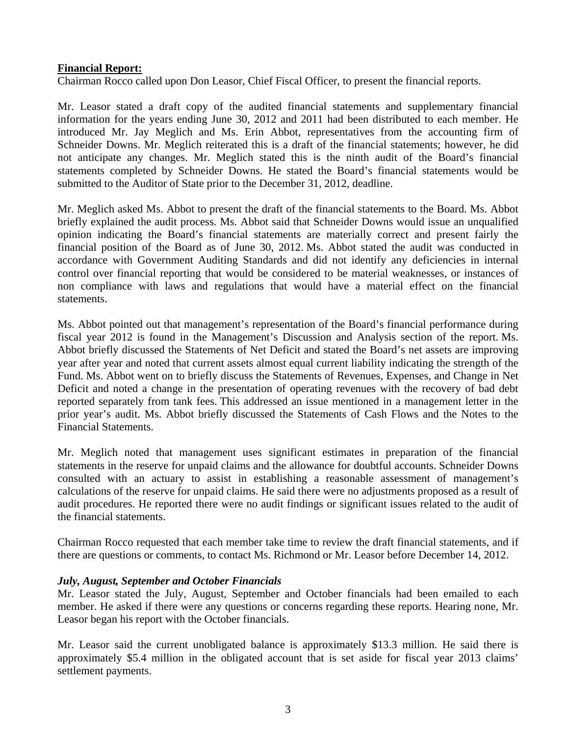## **Financial Report:**

Chairman Rocco called upon Don Leasor, Chief Fiscal Officer, to present the financial reports.

Mr. Leasor stated a draft copy of the audited financial statements and supplementary financial information for the years ending June 30, 2012 and 2011 had been distributed to each member. He introduced Mr. Jay Meglich and Ms. Erin Abbot, representatives from the accounting firm of Schneider Downs. Mr. Meglich reiterated this is a draft of the financial statements; however, he did not anticipate any changes. Mr. Meglich stated this is the ninth audit of the Board's financial statements completed by Schneider Downs. He stated the Board's financial statements would be submitted to the Auditor of State prior to the December 31, 2012, deadline.

Mr. Meglich asked Ms. Abbot to present the draft of the financial statements to the Board. Ms. Abbot briefly explained the audit process. Ms. Abbot said that Schneider Downs would issue an unqualified opinion indicating the Board's financial statements are materially correct and present fairly the financial position of the Board as of June 30, 2012. Ms. Abbot stated the audit was conducted in accordance with Government Auditing Standards and did not identify any deficiencies in internal control over financial reporting that would be considered to be material weaknesses, or instances of non compliance with laws and regulations that would have a material effect on the financial statements.

Ms. Abbot pointed out that management's representation of the Board's financial performance during fiscal year 2012 is found in the Management's Discussion and Analysis section of the report. Ms. Abbot briefly discussed the Statements of Net Deficit and stated the Board's net assets are improving year after year and noted that current assets almost equal current liability indicating the strength of the Fund. Ms. Abbot went on to briefly discuss the Statements of Revenues, Expenses, and Change in Net Deficit and noted a change in the presentation of operating revenues with the recovery of bad debt reported separately from tank fees. This addressed an issue mentioned in a management letter in the prior year's audit. Ms. Abbot briefly discussed the Statements of Cash Flows and the Notes to the Financial Statements.

Mr. Meglich noted that management uses significant estimates in preparation of the financial statements in the reserve for unpaid claims and the allowance for doubtful accounts. Schneider Downs consulted with an actuary to assist in establishing a reasonable assessment of management's calculations of the reserve for unpaid claims. He said there were no adjustments proposed as a result of audit procedures. He reported there were no audit findings or significant issues related to the audit of the financial statements.

Chairman Rocco requested that each member take time to review the draft financial statements, and if there are questions or comments, to contact Ms. Richmond or Mr. Leasor before December 14, 2012.

#### *July, August, September and October Financials*

Mr. Leasor stated the July, August, September and October financials had been emailed to each member. He asked if there were any questions or concerns regarding these reports. Hearing none, Mr. Leasor began his report with the October financials.

Mr. Leasor said the current unobligated balance is approximately \$13.3 million. He said there is approximately \$5.4 million in the obligated account that is set aside for fiscal year 2013 claims' settlement payments.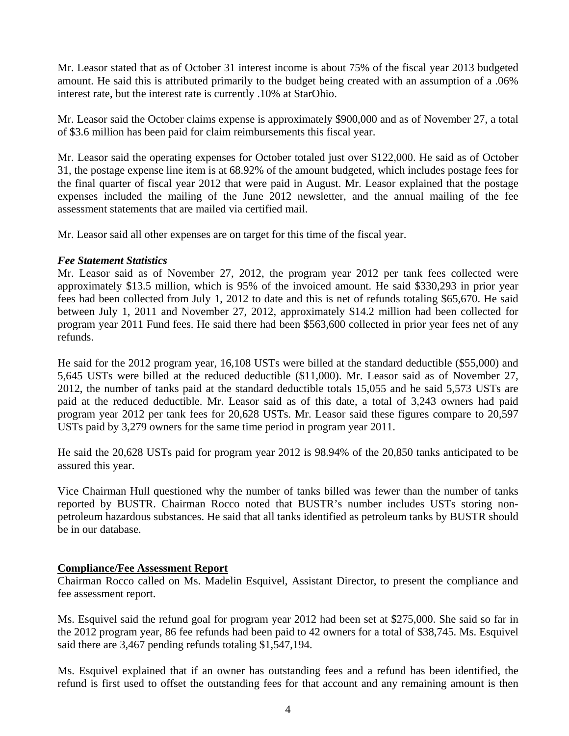Mr. Leasor stated that as of October 31 interest income is about 75% of the fiscal year 2013 budgeted amount. He said this is attributed primarily to the budget being created with an assumption of a .06% interest rate, but the interest rate is currently .10% at StarOhio.

Mr. Leasor said the October claims expense is approximately \$900,000 and as of November 27, a total of \$3.6 million has been paid for claim reimbursements this fiscal year.

Mr. Leasor said the operating expenses for October totaled just over \$122,000. He said as of October 31, the postage expense line item is at 68.92% of the amount budgeted, which includes postage fees for the final quarter of fiscal year 2012 that were paid in August. Mr. Leasor explained that the postage expenses included the mailing of the June 2012 newsletter, and the annual mailing of the fee assessment statements that are mailed via certified mail.

Mr. Leasor said all other expenses are on target for this time of the fiscal year.

## *Fee Statement Statistics*

Mr. Leasor said as of November 27, 2012, the program year 2012 per tank fees collected were approximately \$13.5 million, which is 95% of the invoiced amount. He said \$330,293 in prior year fees had been collected from July 1, 2012 to date and this is net of refunds totaling \$65,670. He said between July 1, 2011 and November 27, 2012, approximately \$14.2 million had been collected for program year 2011 Fund fees. He said there had been \$563,600 collected in prior year fees net of any refunds.

He said for the 2012 program year, 16,108 USTs were billed at the standard deductible (\$55,000) and 5,645 USTs were billed at the reduced deductible (\$11,000). Mr. Leasor said as of November 27, 2012, the number of tanks paid at the standard deductible totals 15,055 and he said 5,573 USTs are paid at the reduced deductible. Mr. Leasor said as of this date, a total of 3,243 owners had paid program year 2012 per tank fees for 20,628 USTs. Mr. Leasor said these figures compare to 20,597 USTs paid by 3,279 owners for the same time period in program year 2011.

He said the 20,628 USTs paid for program year 2012 is 98.94% of the 20,850 tanks anticipated to be assured this year.

Vice Chairman Hull questioned why the number of tanks billed was fewer than the number of tanks reported by BUSTR. Chairman Rocco noted that BUSTR's number includes USTs storing nonpetroleum hazardous substances. He said that all tanks identified as petroleum tanks by BUSTR should be in our database.

# **Compliance/Fee Assessment Report**

Chairman Rocco called on Ms. Madelin Esquivel, Assistant Director, to present the compliance and fee assessment report.

Ms. Esquivel said the refund goal for program year 2012 had been set at \$275,000. She said so far in the 2012 program year, 86 fee refunds had been paid to 42 owners for a total of \$38,745. Ms. Esquivel said there are 3,467 pending refunds totaling \$1,547,194.

Ms. Esquivel explained that if an owner has outstanding fees and a refund has been identified, the refund is first used to offset the outstanding fees for that account and any remaining amount is then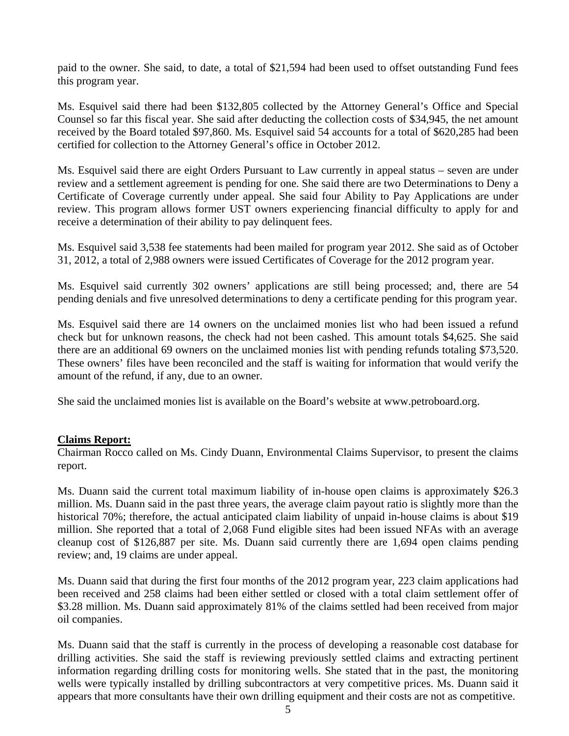paid to the owner. She said, to date, a total of \$21,594 had been used to offset outstanding Fund fees this program year.

Ms. Esquivel said there had been \$132,805 collected by the Attorney General's Office and Special Counsel so far this fiscal year. She said after deducting the collection costs of \$34,945, the net amount received by the Board totaled \$97,860. Ms. Esquivel said 54 accounts for a total of \$620,285 had been certified for collection to the Attorney General's office in October 2012.

Ms. Esquivel said there are eight Orders Pursuant to Law currently in appeal status – seven are under review and a settlement agreement is pending for one. She said there are two Determinations to Deny a Certificate of Coverage currently under appeal. She said four Ability to Pay Applications are under review. This program allows former UST owners experiencing financial difficulty to apply for and receive a determination of their ability to pay delinquent fees.

Ms. Esquivel said 3,538 fee statements had been mailed for program year 2012. She said as of October 31, 2012, a total of 2,988 owners were issued Certificates of Coverage for the 2012 program year.

Ms. Esquivel said currently 302 owners' applications are still being processed; and, there are 54 pending denials and five unresolved determinations to deny a certificate pending for this program year.

Ms. Esquivel said there are 14 owners on the unclaimed monies list who had been issued a refund check but for unknown reasons, the check had not been cashed. This amount totals \$4,625. She said there are an additional 69 owners on the unclaimed monies list with pending refunds totaling \$73,520. These owners' files have been reconciled and the staff is waiting for information that would verify the amount of the refund, if any, due to an owner.

She said the unclaimed monies list is available on the Board's website at www.petroboard.org.

## **Claims Report:**

Chairman Rocco called on Ms. Cindy Duann, Environmental Claims Supervisor, to present the claims report.

Ms. Duann said the current total maximum liability of in-house open claims is approximately \$26.3 million. Ms. Duann said in the past three years, the average claim payout ratio is slightly more than the historical 70%; therefore, the actual anticipated claim liability of unpaid in-house claims is about \$19 million. She reported that a total of 2,068 Fund eligible sites had been issued NFAs with an average cleanup cost of \$126,887 per site. Ms. Duann said currently there are 1,694 open claims pending review; and, 19 claims are under appeal.

Ms. Duann said that during the first four months of the 2012 program year, 223 claim applications had been received and 258 claims had been either settled or closed with a total claim settlement offer of \$3.28 million. Ms. Duann said approximately 81% of the claims settled had been received from major oil companies.

Ms. Duann said that the staff is currently in the process of developing a reasonable cost database for drilling activities. She said the staff is reviewing previously settled claims and extracting pertinent information regarding drilling costs for monitoring wells. She stated that in the past, the monitoring wells were typically installed by drilling subcontractors at very competitive prices. Ms. Duann said it appears that more consultants have their own drilling equipment and their costs are not as competitive.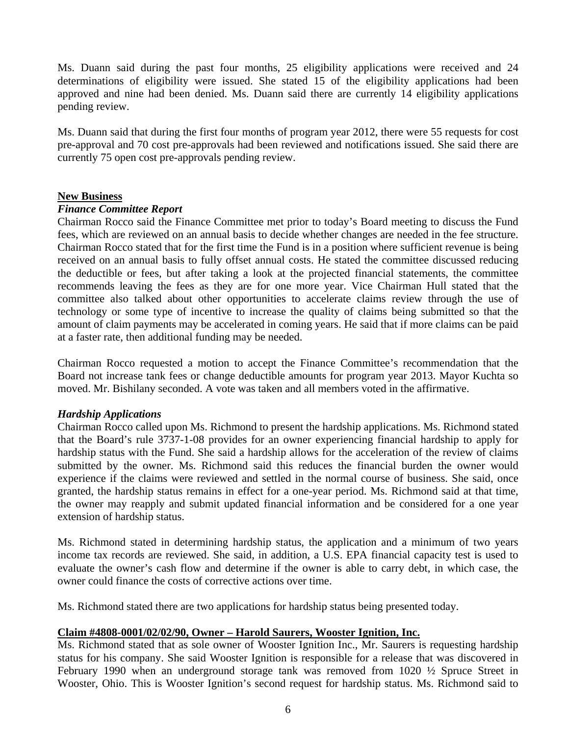Ms. Duann said during the past four months, 25 eligibility applications were received and 24 determinations of eligibility were issued. She stated 15 of the eligibility applications had been approved and nine had been denied. Ms. Duann said there are currently 14 eligibility applications pending review.

Ms. Duann said that during the first four months of program year 2012, there were 55 requests for cost pre-approval and 70 cost pre-approvals had been reviewed and notifications issued. She said there are currently 75 open cost pre-approvals pending review.

## **New Business**

## *Finance Committee Report*

Chairman Rocco said the Finance Committee met prior to today's Board meeting to discuss the Fund fees, which are reviewed on an annual basis to decide whether changes are needed in the fee structure. Chairman Rocco stated that for the first time the Fund is in a position where sufficient revenue is being received on an annual basis to fully offset annual costs. He stated the committee discussed reducing the deductible or fees, but after taking a look at the projected financial statements, the committee recommends leaving the fees as they are for one more year. Vice Chairman Hull stated that the committee also talked about other opportunities to accelerate claims review through the use of technology or some type of incentive to increase the quality of claims being submitted so that the amount of claim payments may be accelerated in coming years. He said that if more claims can be paid at a faster rate, then additional funding may be needed.

Chairman Rocco requested a motion to accept the Finance Committee's recommendation that the Board not increase tank fees or change deductible amounts for program year 2013. Mayor Kuchta so moved. Mr. Bishilany seconded. A vote was taken and all members voted in the affirmative.

## *Hardship Applications*

Chairman Rocco called upon Ms. Richmond to present the hardship applications. Ms. Richmond stated that the Board's rule 3737-1-08 provides for an owner experiencing financial hardship to apply for hardship status with the Fund. She said a hardship allows for the acceleration of the review of claims submitted by the owner. Ms. Richmond said this reduces the financial burden the owner would experience if the claims were reviewed and settled in the normal course of business. She said, once granted, the hardship status remains in effect for a one-year period. Ms. Richmond said at that time, the owner may reapply and submit updated financial information and be considered for a one year extension of hardship status.

Ms. Richmond stated in determining hardship status, the application and a minimum of two years income tax records are reviewed. She said, in addition, a U.S. EPA financial capacity test is used to evaluate the owner's cash flow and determine if the owner is able to carry debt, in which case, the owner could finance the costs of corrective actions over time.

Ms. Richmond stated there are two applications for hardship status being presented today.

## **Claim #4808-0001/02/02/90, Owner – Harold Saurers, Wooster Ignition, Inc.**

Ms. Richmond stated that as sole owner of Wooster Ignition Inc., Mr. Saurers is requesting hardship status for his company. She said Wooster Ignition is responsible for a release that was discovered in February 1990 when an underground storage tank was removed from 1020 ½ Spruce Street in Wooster, Ohio. This is Wooster Ignition's second request for hardship status. Ms. Richmond said to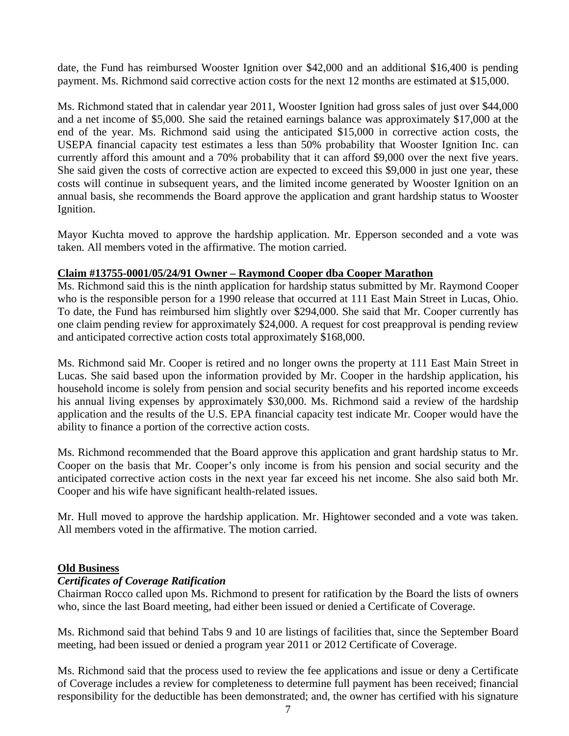date, the Fund has reimbursed Wooster Ignition over \$42,000 and an additional \$16,400 is pending payment. Ms. Richmond said corrective action costs for the next 12 months are estimated at \$15,000.

Ms. Richmond stated that in calendar year 2011, Wooster Ignition had gross sales of just over \$44,000 and a net income of \$5,000. She said the retained earnings balance was approximately \$17,000 at the end of the year. Ms. Richmond said using the anticipated \$15,000 in corrective action costs, the USEPA financial capacity test estimates a less than 50% probability that Wooster Ignition Inc. can currently afford this amount and a 70% probability that it can afford \$9,000 over the next five years. She said given the costs of corrective action are expected to exceed this \$9,000 in just one year, these costs will continue in subsequent years, and the limited income generated by Wooster Ignition on an annual basis, she recommends the Board approve the application and grant hardship status to Wooster Ignition.

Mayor Kuchta moved to approve the hardship application. Mr. Epperson seconded and a vote was taken. All members voted in the affirmative. The motion carried.

## **Claim #13755-0001/05/24/91 Owner – Raymond Cooper dba Cooper Marathon**

Ms. Richmond said this is the ninth application for hardship status submitted by Mr. Raymond Cooper who is the responsible person for a 1990 release that occurred at 111 East Main Street in Lucas, Ohio. To date, the Fund has reimbursed him slightly over \$294,000. She said that Mr. Cooper currently has one claim pending review for approximately \$24,000. A request for cost preapproval is pending review and anticipated corrective action costs total approximately \$168,000.

Ms. Richmond said Mr. Cooper is retired and no longer owns the property at 111 East Main Street in Lucas. She said based upon the information provided by Mr. Cooper in the hardship application, his household income is solely from pension and social security benefits and his reported income exceeds his annual living expenses by approximately \$30,000. Ms. Richmond said a review of the hardship application and the results of the U.S. EPA financial capacity test indicate Mr. Cooper would have the ability to finance a portion of the corrective action costs.

Ms. Richmond recommended that the Board approve this application and grant hardship status to Mr. Cooper on the basis that Mr. Cooper's only income is from his pension and social security and the anticipated corrective action costs in the next year far exceed his net income. She also said both Mr. Cooper and his wife have significant health-related issues.

Mr. Hull moved to approve the hardship application. Mr. Hightower seconded and a vote was taken. All members voted in the affirmative. The motion carried.

## **Old Business**

# *Certificates of Coverage Ratification*

Chairman Rocco called upon Ms. Richmond to present for ratification by the Board the lists of owners who, since the last Board meeting, had either been issued or denied a Certificate of Coverage.

Ms. Richmond said that behind Tabs 9 and 10 are listings of facilities that, since the September Board meeting, had been issued or denied a program year 2011 or 2012 Certificate of Coverage.

Ms. Richmond said that the process used to review the fee applications and issue or deny a Certificate of Coverage includes a review for completeness to determine full payment has been received; financial responsibility for the deductible has been demonstrated; and, the owner has certified with his signature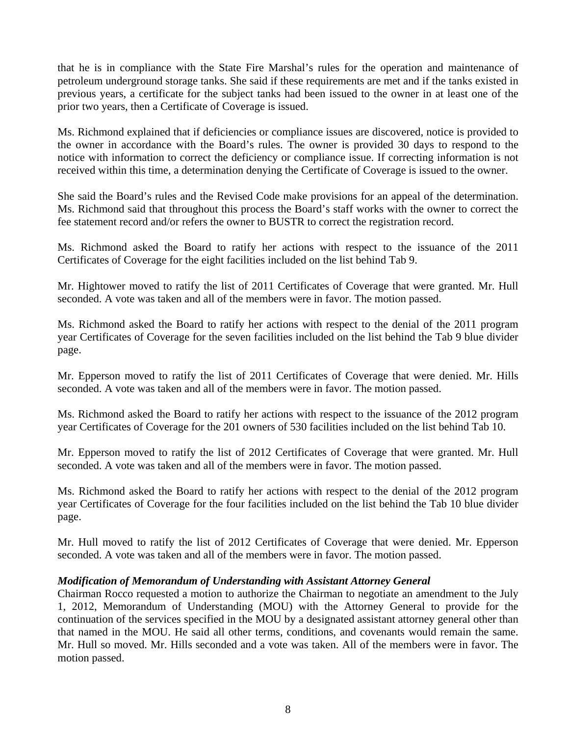that he is in compliance with the State Fire Marshal's rules for the operation and maintenance of petroleum underground storage tanks. She said if these requirements are met and if the tanks existed in previous years, a certificate for the subject tanks had been issued to the owner in at least one of the prior two years, then a Certificate of Coverage is issued.

Ms. Richmond explained that if deficiencies or compliance issues are discovered, notice is provided to the owner in accordance with the Board's rules. The owner is provided 30 days to respond to the notice with information to correct the deficiency or compliance issue. If correcting information is not received within this time, a determination denying the Certificate of Coverage is issued to the owner.

She said the Board's rules and the Revised Code make provisions for an appeal of the determination. Ms. Richmond said that throughout this process the Board's staff works with the owner to correct the fee statement record and/or refers the owner to BUSTR to correct the registration record.

Ms. Richmond asked the Board to ratify her actions with respect to the issuance of the 2011 Certificates of Coverage for the eight facilities included on the list behind Tab 9.

Mr. Hightower moved to ratify the list of 2011 Certificates of Coverage that were granted. Mr. Hull seconded. A vote was taken and all of the members were in favor. The motion passed.

Ms. Richmond asked the Board to ratify her actions with respect to the denial of the 2011 program year Certificates of Coverage for the seven facilities included on the list behind the Tab 9 blue divider page.

Mr. Epperson moved to ratify the list of 2011 Certificates of Coverage that were denied. Mr. Hills seconded. A vote was taken and all of the members were in favor. The motion passed.

Ms. Richmond asked the Board to ratify her actions with respect to the issuance of the 2012 program year Certificates of Coverage for the 201 owners of 530 facilities included on the list behind Tab 10.

Mr. Epperson moved to ratify the list of 2012 Certificates of Coverage that were granted. Mr. Hull seconded. A vote was taken and all of the members were in favor. The motion passed.

Ms. Richmond asked the Board to ratify her actions with respect to the denial of the 2012 program year Certificates of Coverage for the four facilities included on the list behind the Tab 10 blue divider page.

Mr. Hull moved to ratify the list of 2012 Certificates of Coverage that were denied. Mr. Epperson seconded. A vote was taken and all of the members were in favor. The motion passed.

## *Modification of Memorandum of Understanding with Assistant Attorney General*

Chairman Rocco requested a motion to authorize the Chairman to negotiate an amendment to the July 1, 2012, Memorandum of Understanding (MOU) with the Attorney General to provide for the continuation of the services specified in the MOU by a designated assistant attorney general other than that named in the MOU. He said all other terms, conditions, and covenants would remain the same. Mr. Hull so moved. Mr. Hills seconded and a vote was taken. All of the members were in favor. The motion passed.